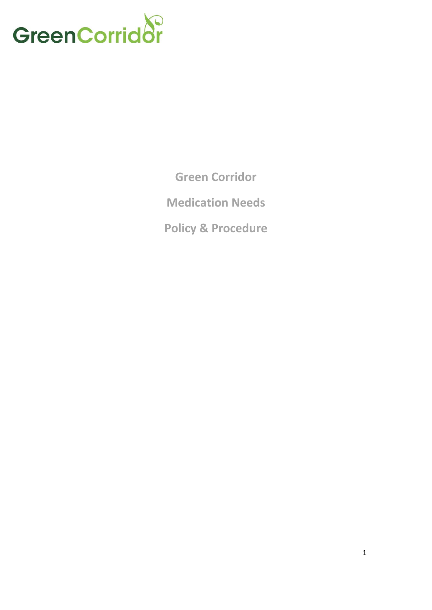

**Green Corridor**

**Medication Needs**

**Policy & Procedure**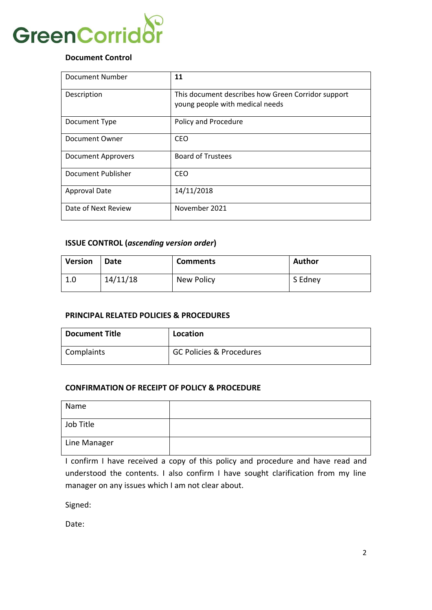

# **Document Control**

| Document Number      | 11                                                                                    |
|----------------------|---------------------------------------------------------------------------------------|
| Description          | This document describes how Green Corridor support<br>young people with medical needs |
| Document Type        | Policy and Procedure                                                                  |
| Document Owner       | CEO                                                                                   |
| Document Approvers   | <b>Board of Trustees</b>                                                              |
| Document Publisher   | <b>CEO</b>                                                                            |
| <b>Approval Date</b> | 14/11/2018                                                                            |
| Date of Next Review  | November 2021                                                                         |

# **ISSUE CONTROL (***ascending version order***)**

| Version | Date     | <b>Comments</b> | Author  |
|---------|----------|-----------------|---------|
| 1.0     | 14/11/18 | New Policy      | S Edney |

## **PRINCIPAL RELATED POLICIES & PROCEDURES**

| Document Title | Location                            |
|----------------|-------------------------------------|
| Complaints     | <b>GC Policies &amp; Procedures</b> |

# **CONFIRMATION OF RECEIPT OF POLICY & PROCEDURE**

| Name         |  |
|--------------|--|
| Job Title    |  |
| Line Manager |  |

I confirm I have received a copy of this policy and procedure and have read and understood the contents. I also confirm I have sought clarification from my line manager on any issues which I am not clear about.

Signed:

Date: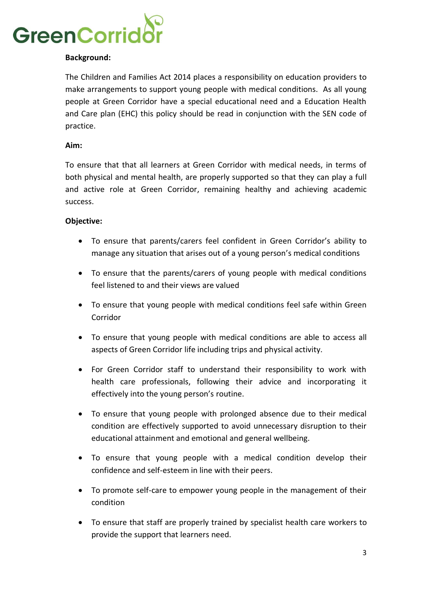

# **Background:**

The Children and Families Act 2014 places a responsibility on education providers to make arrangements to support young people with medical conditions. As all young people at Green Corridor have a special educational need and a Education Health and Care plan (EHC) this policy should be read in conjunction with the SEN code of practice.

#### **Aim:**

To ensure that that all learners at Green Corridor with medical needs, in terms of both physical and mental health, are properly supported so that they can play a full and active role at Green Corridor, remaining healthy and achieving academic success.

#### **Objective:**

- To ensure that parents/carers feel confident in Green Corridor's ability to manage any situation that arises out of a young person's medical conditions
- To ensure that the parents/carers of young people with medical conditions feel listened to and their views are valued
- To ensure that young people with medical conditions feel safe within Green Corridor
- To ensure that young people with medical conditions are able to access all aspects of Green Corridor life including trips and physical activity.
- For Green Corridor staff to understand their responsibility to work with health care professionals, following their advice and incorporating it effectively into the young person's routine.
- To ensure that young people with prolonged absence due to their medical condition are effectively supported to avoid unnecessary disruption to their educational attainment and emotional and general wellbeing.
- To ensure that young people with a medical condition develop their confidence and self-esteem in line with their peers.
- To promote self-care to empower young people in the management of their condition
- To ensure that staff are properly trained by specialist health care workers to provide the support that learners need.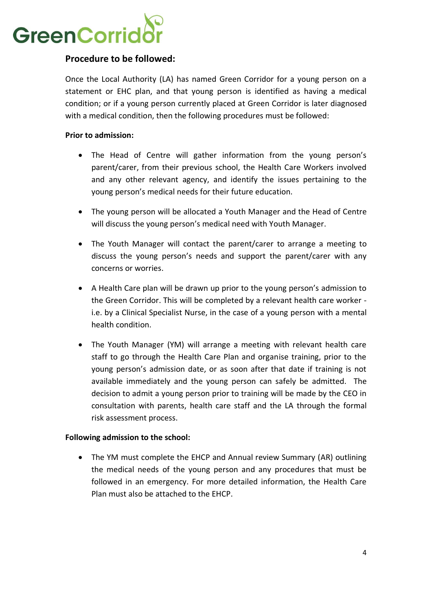

# **Procedure to be followed:**

Once the Local Authority (LA) has named Green Corridor for a young person on a statement or EHC plan, and that young person is identified as having a medical condition; or if a young person currently placed at Green Corridor is later diagnosed with a medical condition, then the following procedures must be followed:

# **Prior to admission:**

- The Head of Centre will gather information from the young person's parent/carer, from their previous school, the Health Care Workers involved and any other relevant agency, and identify the issues pertaining to the young person's medical needs for their future education.
- The young person will be allocated a Youth Manager and the Head of Centre will discuss the young person's medical need with Youth Manager.
- The Youth Manager will contact the parent/carer to arrange a meeting to discuss the young person's needs and support the parent/carer with any concerns or worries.
- A Health Care plan will be drawn up prior to the young person's admission to the Green Corridor. This will be completed by a relevant health care worker i.e. by a Clinical Specialist Nurse, in the case of a young person with a mental health condition.
- The Youth Manager (YM) will arrange a meeting with relevant health care staff to go through the Health Care Plan and organise training, prior to the young person's admission date, or as soon after that date if training is not available immediately and the young person can safely be admitted. The decision to admit a young person prior to training will be made by the CEO in consultation with parents, health care staff and the LA through the formal risk assessment process.

## **Following admission to the school:**

• The YM must complete the EHCP and Annual review Summary (AR) outlining the medical needs of the young person and any procedures that must be followed in an emergency. For more detailed information, the Health Care Plan must also be attached to the EHCP.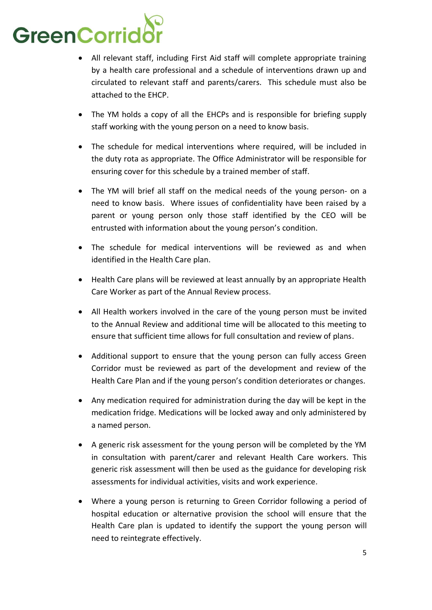

- All relevant staff, including First Aid staff will complete appropriate training by a health care professional and a schedule of interventions drawn up and circulated to relevant staff and parents/carers. This schedule must also be attached to the EHCP.
- The YM holds a copy of all the EHCPs and is responsible for briefing supply staff working with the young person on a need to know basis.
- The schedule for medical interventions where required, will be included in the duty rota as appropriate. The Office Administrator will be responsible for ensuring cover for this schedule by a trained member of staff.
- The YM will brief all staff on the medical needs of the young person- on a need to know basis. Where issues of confidentiality have been raised by a parent or young person only those staff identified by the CEO will be entrusted with information about the young person's condition.
- The schedule for medical interventions will be reviewed as and when identified in the Health Care plan.
- Health Care plans will be reviewed at least annually by an appropriate Health Care Worker as part of the Annual Review process.
- All Health workers involved in the care of the young person must be invited to the Annual Review and additional time will be allocated to this meeting to ensure that sufficient time allows for full consultation and review of plans.
- Additional support to ensure that the young person can fully access Green Corridor must be reviewed as part of the development and review of the Health Care Plan and if the young person's condition deteriorates or changes.
- Any medication required for administration during the day will be kept in the medication fridge. Medications will be locked away and only administered by a named person.
- A generic risk assessment for the young person will be completed by the YM in consultation with parent/carer and relevant Health Care workers. This generic risk assessment will then be used as the guidance for developing risk assessments for individual activities, visits and work experience.
- Where a young person is returning to Green Corridor following a period of hospital education or alternative provision the school will ensure that the Health Care plan is updated to identify the support the young person will need to reintegrate effectively.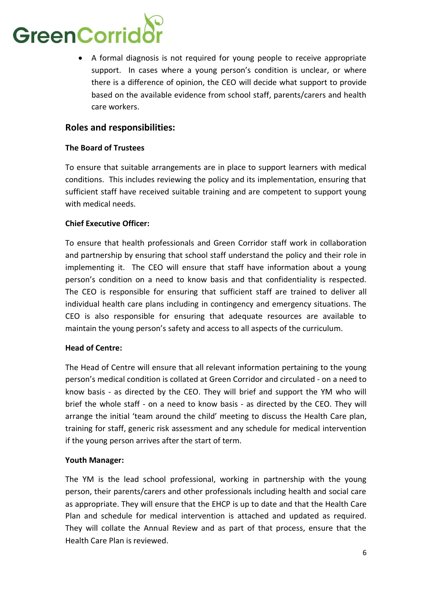# GreenCorrid

• A formal diagnosis is not required for young people to receive appropriate support. In cases where a young person's condition is unclear, or where there is a difference of opinion, the CEO will decide what support to provide based on the available evidence from school staff, parents/carers and health care workers.

# **Roles and responsibilities:**

# **The Board of Trustees**

To ensure that suitable arrangements are in place to support learners with medical conditions. This includes reviewing the policy and its implementation, ensuring that sufficient staff have received suitable training and are competent to support young with medical needs.

# **Chief Executive Officer:**

To ensure that health professionals and Green Corridor staff work in collaboration and partnership by ensuring that school staff understand the policy and their role in implementing it. The CEO will ensure that staff have information about a young person's condition on a need to know basis and that confidentiality is respected. The CEO is responsible for ensuring that sufficient staff are trained to deliver all individual health care plans including in contingency and emergency situations. The CEO is also responsible for ensuring that adequate resources are available to maintain the young person's safety and access to all aspects of the curriculum.

# **Head of Centre:**

The Head of Centre will ensure that all relevant information pertaining to the young person's medical condition is collated at Green Corridor and circulated - on a need to know basis - as directed by the CEO. They will brief and support the YM who will brief the whole staff - on a need to know basis - as directed by the CEO. They will arrange the initial 'team around the child' meeting to discuss the Health Care plan, training for staff, generic risk assessment and any schedule for medical intervention if the young person arrives after the start of term.

# **Youth Manager:**

The YM is the lead school professional, working in partnership with the young person, their parents/carers and other professionals including health and social care as appropriate. They will ensure that the EHCP is up to date and that the Health Care Plan and schedule for medical intervention is attached and updated as required. They will collate the Annual Review and as part of that process, ensure that the Health Care Plan is reviewed.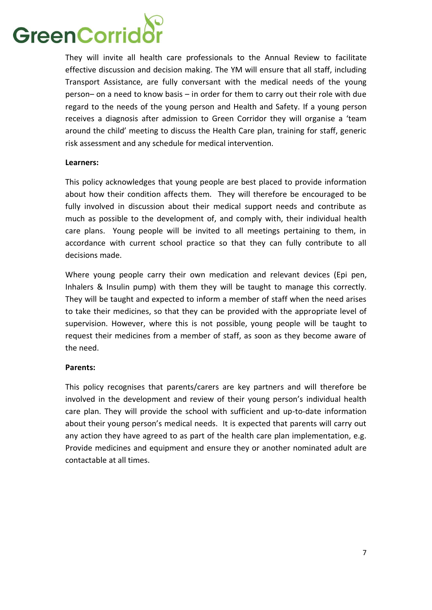

They will invite all health care professionals to the Annual Review to facilitate effective discussion and decision making. The YM will ensure that all staff, including Transport Assistance, are fully conversant with the medical needs of the young person– on a need to know basis – in order for them to carry out their role with due regard to the needs of the young person and Health and Safety. If a young person receives a diagnosis after admission to Green Corridor they will organise a 'team around the child' meeting to discuss the Health Care plan, training for staff, generic risk assessment and any schedule for medical intervention.

#### **Learners:**

This policy acknowledges that young people are best placed to provide information about how their condition affects them. They will therefore be encouraged to be fully involved in discussion about their medical support needs and contribute as much as possible to the development of, and comply with, their individual health care plans. Young people will be invited to all meetings pertaining to them, in accordance with current school practice so that they can fully contribute to all decisions made.

Where young people carry their own medication and relevant devices (Epi pen, Inhalers & Insulin pump) with them they will be taught to manage this correctly. They will be taught and expected to inform a member of staff when the need arises to take their medicines, so that they can be provided with the appropriate level of supervision. However, where this is not possible, young people will be taught to request their medicines from a member of staff, as soon as they become aware of the need.

## **Parents:**

This policy recognises that parents/carers are key partners and will therefore be involved in the development and review of their young person's individual health care plan. They will provide the school with sufficient and up-to-date information about their young person's medical needs. It is expected that parents will carry out any action they have agreed to as part of the health care plan implementation, e.g. Provide medicines and equipment and ensure they or another nominated adult are contactable at all times.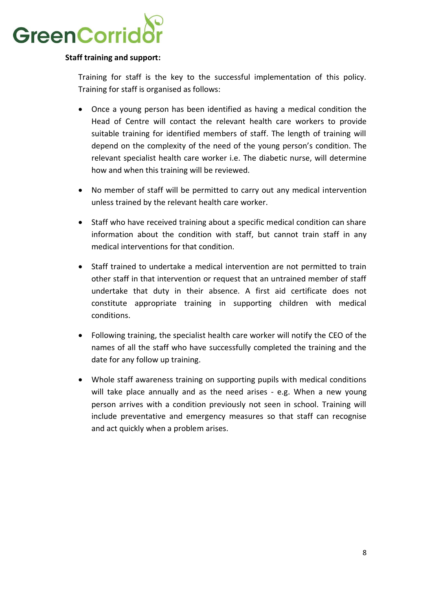

# **Staff training and support:**

Training for staff is the key to the successful implementation of this policy. Training for staff is organised as follows:

- Once a young person has been identified as having a medical condition the Head of Centre will contact the relevant health care workers to provide suitable training for identified members of staff. The length of training will depend on the complexity of the need of the young person's condition. The relevant specialist health care worker i.e. The diabetic nurse, will determine how and when this training will be reviewed.
- No member of staff will be permitted to carry out any medical intervention unless trained by the relevant health care worker.
- Staff who have received training about a specific medical condition can share information about the condition with staff, but cannot train staff in any medical interventions for that condition.
- Staff trained to undertake a medical intervention are not permitted to train other staff in that intervention or request that an untrained member of staff undertake that duty in their absence. A first aid certificate does not constitute appropriate training in supporting children with medical conditions.
- Following training, the specialist health care worker will notify the CEO of the names of all the staff who have successfully completed the training and the date for any follow up training.
- Whole staff awareness training on supporting pupils with medical conditions will take place annually and as the need arises - e.g. When a new young person arrives with a condition previously not seen in school. Training will include preventative and emergency measures so that staff can recognise and act quickly when a problem arises.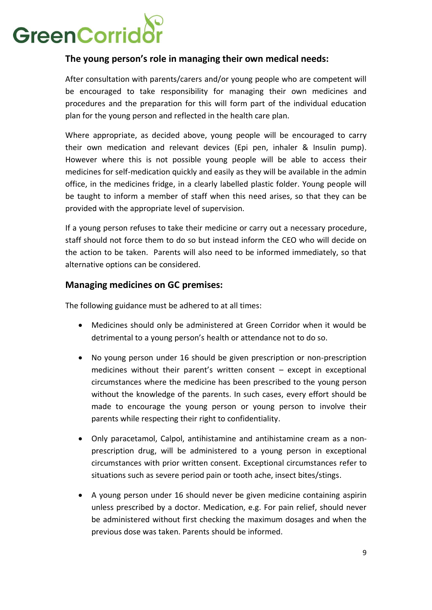

# **The young person's role in managing their own medical needs:**

After consultation with parents/carers and/or young people who are competent will be encouraged to take responsibility for managing their own medicines and procedures and the preparation for this will form part of the individual education plan for the young person and reflected in the health care plan.

Where appropriate, as decided above, young people will be encouraged to carry their own medication and relevant devices (Epi pen, inhaler & Insulin pump). However where this is not possible young people will be able to access their medicines for self-medication quickly and easily as they will be available in the admin office, in the medicines fridge, in a clearly labelled plastic folder. Young people will be taught to inform a member of staff when this need arises, so that they can be provided with the appropriate level of supervision.

If a young person refuses to take their medicine or carry out a necessary procedure, staff should not force them to do so but instead inform the CEO who will decide on the action to be taken. Parents will also need to be informed immediately, so that alternative options can be considered.

# **Managing medicines on GC premises:**

The following guidance must be adhered to at all times:

- Medicines should only be administered at Green Corridor when it would be detrimental to a young person's health or attendance not to do so.
- No young person under 16 should be given prescription or non-prescription medicines without their parent's written consent – except in exceptional circumstances where the medicine has been prescribed to the young person without the knowledge of the parents. In such cases, every effort should be made to encourage the young person or young person to involve their parents while respecting their right to confidentiality.
- Only paracetamol, Calpol, antihistamine and antihistamine cream as a nonprescription drug, will be administered to a young person in exceptional circumstances with prior written consent. Exceptional circumstances refer to situations such as severe period pain or tooth ache, insect bites/stings.
- A young person under 16 should never be given medicine containing aspirin unless prescribed by a doctor. Medication, e.g. For pain relief, should never be administered without first checking the maximum dosages and when the previous dose was taken. Parents should be informed.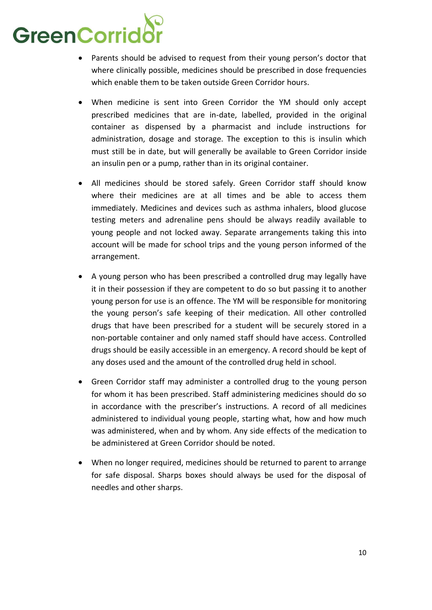# GreenCorrido

- Parents should be advised to request from their young person's doctor that where clinically possible, medicines should be prescribed in dose frequencies which enable them to be taken outside Green Corridor hours.
- When medicine is sent into Green Corridor the YM should only accept prescribed medicines that are in-date, labelled, provided in the original container as dispensed by a pharmacist and include instructions for administration, dosage and storage. The exception to this is insulin which must still be in date, but will generally be available to Green Corridor inside an insulin pen or a pump, rather than in its original container.
- All medicines should be stored safely. Green Corridor staff should know where their medicines are at all times and be able to access them immediately. Medicines and devices such as asthma inhalers, blood glucose testing meters and adrenaline pens should be always readily available to young people and not locked away. Separate arrangements taking this into account will be made for school trips and the young person informed of the arrangement.
- A young person who has been prescribed a controlled drug may legally have it in their possession if they are competent to do so but passing it to another young person for use is an offence. The YM will be responsible for monitoring the young person's safe keeping of their medication. All other controlled drugs that have been prescribed for a student will be securely stored in a non-portable container and only named staff should have access. Controlled drugs should be easily accessible in an emergency. A record should be kept of any doses used and the amount of the controlled drug held in school.
- Green Corridor staff may administer a controlled drug to the young person for whom it has been prescribed. Staff administering medicines should do so in accordance with the prescriber's instructions. A record of all medicines administered to individual young people, starting what, how and how much was administered, when and by whom. Any side effects of the medication to be administered at Green Corridor should be noted.
- When no longer required, medicines should be returned to parent to arrange for safe disposal. Sharps boxes should always be used for the disposal of needles and other sharps.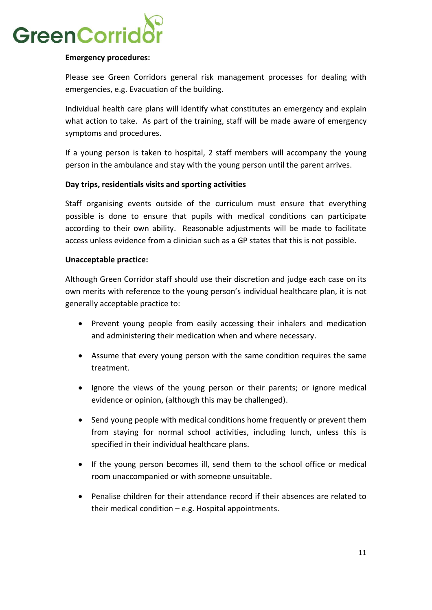

## **Emergency procedures:**

Please see Green Corridors general risk management processes for dealing with emergencies, e.g. Evacuation of the building.

Individual health care plans will identify what constitutes an emergency and explain what action to take. As part of the training, staff will be made aware of emergency symptoms and procedures.

If a young person is taken to hospital, 2 staff members will accompany the young person in the ambulance and stay with the young person until the parent arrives.

# **Day trips, residentials visits and sporting activities**

Staff organising events outside of the curriculum must ensure that everything possible is done to ensure that pupils with medical conditions can participate according to their own ability. Reasonable adjustments will be made to facilitate access unless evidence from a clinician such as a GP states that this is not possible.

## **Unacceptable practice:**

Although Green Corridor staff should use their discretion and judge each case on its own merits with reference to the young person's individual healthcare plan, it is not generally acceptable practice to:

- Prevent young people from easily accessing their inhalers and medication and administering their medication when and where necessary.
- Assume that every young person with the same condition requires the same treatment.
- Ignore the views of the young person or their parents; or ignore medical evidence or opinion, (although this may be challenged).
- Send young people with medical conditions home frequently or prevent them from staying for normal school activities, including lunch, unless this is specified in their individual healthcare plans.
- If the young person becomes ill, send them to the school office or medical room unaccompanied or with someone unsuitable.
- Penalise children for their attendance record if their absences are related to their medical condition  $-e.g.$  Hospital appointments.